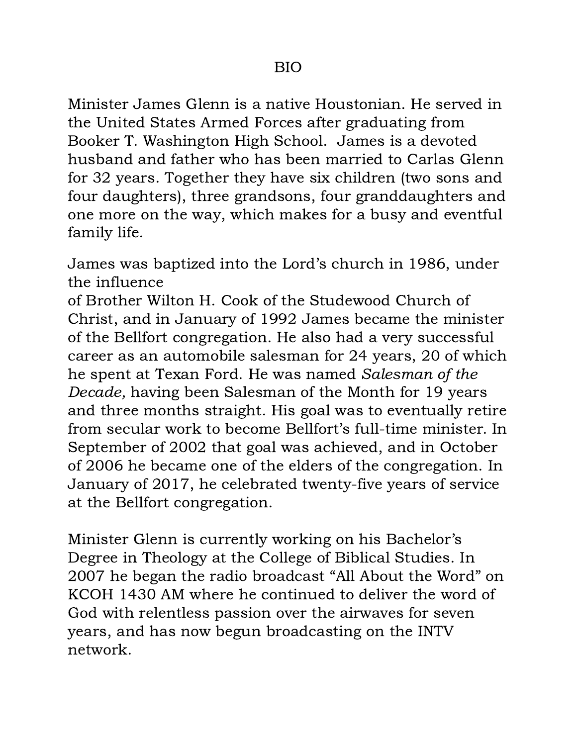Minister James Glenn is a native Houstonian. He served in the United States Armed Forces after graduating from Booker T. Washington High School. James is a devoted husband and father who has been married to Carlas Glenn for 32 years. Together they have six children (two sons and four daughters), three grandsons, four granddaughters and one more on the way, which makes for a busy and eventful family life.

James was baptized into the Lord's church in 1986, under the influence

of Brother Wilton H. Cook of the Studewood Church of Christ, and in January of 1992 James became the minister of the Bellfort congregation. He also had a very successful career as an automobile salesman for 24 years, 20 of which he spent at Texan Ford. He was named Salesman of the Decade, having been Salesman of the Month for 19 years and three months straight. His goal was to eventually retire from secular work to become Bellfort's full-time minister. In September of 2002 that goal was achieved, and in October of 2006 he became one of the elders of the congregation. In January of 2017, he celebrated twenty-five years of service at the Bellfort congregation.

Minister Glenn is currently working on his Bachelor's Degree in Theology at the College of Biblical Studies. In 2007 he began the radio broadcast "All About the Word" on KCOH 1430 AM where he continued to deliver the word of God with relentless passion over the airwaves for seven years, and has now begun broadcasting on the INTV network.